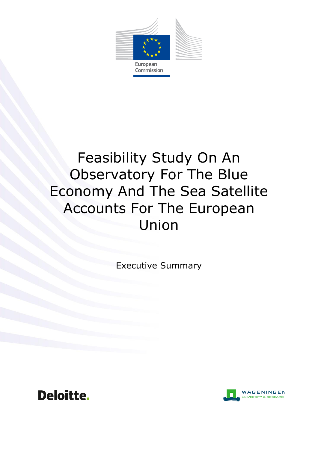

## Feasibility Study On An Observatory For The Blue Economy And The Sea Satellite Accounts For The European Union

Executive Summary



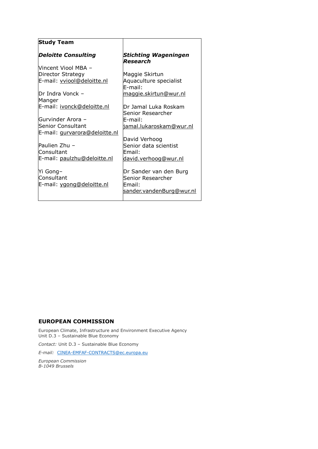| <b>Study Team</b>                                          |                                                                                          |
|------------------------------------------------------------|------------------------------------------------------------------------------------------|
| <b>Deloitte Consulting</b>                                 | <b>Stichting Wageningen</b><br>Research                                                  |
| Vincent Viool MBA –                                        |                                                                                          |
| Director Strategy                                          | Maggie Skirtun                                                                           |
| E-mail: vviool@deloitte.nl                                 | Aquaculture specialist<br>E-mail:                                                        |
| Dr Indra Vonck –                                           | <u>maggie.skirtun@wur.nl</u>                                                             |
| Manger                                                     |                                                                                          |
| E-mail: ivonck@deloitte.nl                                 | Dr Jamal Luka Roskam                                                                     |
|                                                            | Senior Researcher                                                                        |
| Gurvinder Arora -                                          | E-mail:                                                                                  |
| <b>Senior Consultant</b>                                   | jamal.lukaroskam@wur.nl                                                                  |
| E-mail: gurvarora@deloitte.nl                              |                                                                                          |
|                                                            | David Verhoog                                                                            |
| Paulien Zhu -                                              | Senior data scientist                                                                    |
| Consultant                                                 | Email:                                                                                   |
| E-mail: paulzhu@deloitte.nl                                | david.verhoog@wur.nl                                                                     |
| Yi Gong-<br><b>Consultant</b><br>E-mail: ygong@deloitte.nl | Dr Sander van den Burg<br>Senior Researcher<br>Email:<br><u>sander.vandenBurg@wur.nl</u> |
|                                                            |                                                                                          |

## **EUROPEAN COMMISSION**

European Climate, Infrastructure and Environment Executive Agency Unit D.3 – Sustainable Blue Economy

*Contact:* Unit D.3 – Sustainable Blue Economy

*E-mail:* [CINEA-EMFAF-CONTRACTS@ec.europa.eu](mailto:CINEA-EMFAF-CONTRACTS@ec.europa.eu)

*European Commission B-1049 Brussels*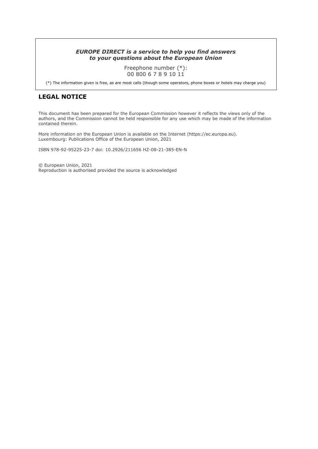## *EUROPE DIRECT is a service to help you find answers to your questions about the European Union*

Freephone number (\*): 00 800 6 7 8 9 10 11

(\*) The information given is free, as are most calls (though some operators, phone boxes or hotels may charge you)

## **LEGAL NOTICE**

This document has been prepared for the European Commission however it reflects the views only of the authors, and the Commission cannot be held responsible for any use which may be made of the information contained therein.

More information on the European Union is available on the Internet (https://ec.europa.eu). Luxembourg: Publications Office of the European Union, 2021

ISBN 978-92-95225-23-7 doi: 10.2926/211656 HZ-08-21-385-EN-N

© European Union, 2021 Reproduction is authorised provided the source is acknowledged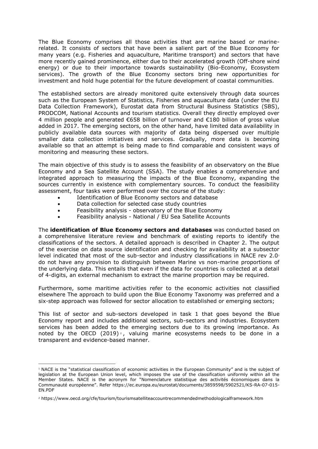The Blue Economy comprises all those activities that are marine based or marinerelated. It consists of sectors that have been a salient part of the Blue Economy for many years (e.g. Fisheries and aquaculture, Maritime transport) and sectors that have more recently gained prominence, either due to their accelerated growth (Off-shore wind energy) or due to their importance towards sustainability (Bio-Economy, Ecosystem services). The growth of the Blue Economy sectors bring new opportunities for investment and hold huge potential for the future development of coastal communities.

The established sectors are already monitored quite extensively through data sources such as the European System of Statistics, Fisheries and aquaculture data (under the EU Data Collection Framework), Eurostat data from Structural Business Statistics (SBS), PRODCOM, National Accounts and tourism statistics. Overall they directly employed over 4 million people and generated €658 billion of turnover and €180 billion of gross value added in 2017. The emerging sectors, on the other hand, have limited data availability in publicly available data sources with majority of data being dispersed over multiple smaller data collection initiatives and services. Gradually, more data is becoming available so that an attempt is being made to find comparable and consistent ways of monitoring and measuring these sectors.

The main objective of this study is to assess the feasibility of an observatory on the Blue Economy and a Sea Satellite Account (SSA). The study enables a comprehensive and integrated approach to measuring the impacts of the Blue Economy, expanding the sources currently in existence with complementary sources. To conduct the feasibility assessment, four tasks were performed over the course of the study:

- Identification of Blue Economy sectors and database
- Data collection for selected case study countries
- Feasibility analysis observatory of the Blue Economy
- Feasibility analysis National / EU Sea Satellite Accounts

The **identification of Blue Economy sectors and databases** was conducted based on a comprehensive literature review and benchmark of existing reports to identify the classifications of the sectors. A detailed approach is described in Chapter 2. The output of the exercise on data source identification and checking for availability at a subsector level indicated that most of the sub-sector and industry classifications in NACE rev  $2.0<sup>1</sup>$ do not have any provision to distinguish between Marine vs non-marine proportions of the underlying data. This entails that even if the data for countries is collected at a detail of 4-digits, an external mechanism to extract the marine proportion may be required.

Furthermore, some maritime activities refer to the economic activities not classified elsewhere The approach to build upon the Blue Economy Taxonomy was preferred and a six-step approach was followed for sector allocation to established or emerging sectors;

This list of sector and sub-sectors developed in task 1 that goes beyond the Blue Economy report and includes additional sectors, sub-sectors and industries. Ecosystem services has been added to the emerging sectors due to its growing importance. As noted by the OECD (2019)<sup>2</sup>, valuing marine ecosystems needs to be done in a transparent and evidence-based manner.

 $\overline{a}$ 

<sup>&</sup>lt;sup>1</sup> NACE is the "statistical classification of economic activities in the European Community" and is the subject of legislation at the European Union level, which imposes the use of the classification uniformly within all the Member States. NACE is the acronym for "Nomenclature statistique des activités économiques dans la Communauté européenne". Refer [https://ec.europa.eu/eurostat/documents/3859598/5902521/KS-RA-07-015-](https://ec.europa.eu/eurostat/documents/3859598/5902521/KS-RA-07-015-EN.PDF) [EN.PDF](https://ec.europa.eu/eurostat/documents/3859598/5902521/KS-RA-07-015-EN.PDF)

<sup>2</sup> <https://www.oecd.org/cfe/tourism/tourismsatelliteaccountrecommendedmethodologicalframework.htm>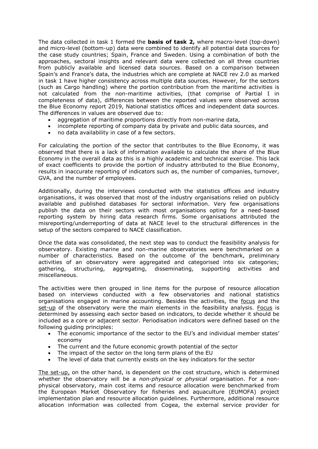The data collected in task 1 formed the **basis of task 2,** where macro-level (top-down) and micro-level (bottom-up) data were combined to identify all potential data sources for the case study countries; Spain, France and Sweden. Using a combination of both the approaches, sectoral insights and relevant data were collected on all three countries from publicly available and licensed data sources. Based on a comparison between Spain's and France's data, the industries which are complete at NACE rev 2.0 as marked in task 1 have higher consistency across multiple data sources. However, for the sectors (such as Cargo handling) where the portion contribution from the maritime activities is not calculated from the non-maritime activities, (that comprise of Partial I in completeness of data), differences between the reported values were observed across the Blue Economy report 2019, National statistics offices and independent data sources. The differences in values are observed due to:

- aggregation of maritime proportions directly from non-marine data,
- incomplete reporting of company data by private and public data sources, and
- no data availability in case of a few sectors.

For calculating the portion of the sector that contributes to the Blue Economy, it was observed that there is a lack of information available to calculate the share of the Blue Economy in the overall data as this is a highly academic and technical exercise. This lack of exact coefficients to provide the portion of industry attributed to the Blue Economy, results in inaccurate reporting of indicators such as, the number of companies, turnover, GVA, and the number of employees.

Additionally, during the interviews conducted with the statistics offices and industry organisations, it was observed that most of the industry organisations relied on publicly available and published databases for sectoral information. Very few organisations publish the data on their sectors with most organisations opting for a need-based reporting system by hiring data research firms. Some organisations attributed the misreporting/underreporting of data at NACE level to the structural differences in the setup of the sectors compared to NACE classification.

Once the data was consolidated, the next step was to conduct the feasibility analysis for observatory. Existing marine and non-marine observatories were benchmarked on a number of characteristics. Based on the outcome of the benchmark, preliminary activities of an observatory were aggregated and categorised into six categories; gathering, structuring, aggregating, disseminating, supporting activities and miscellaneous.

The activities were then grouped in line items for the purpose of resource allocation based on interviews conducted with a few observatories and national statistics organisations engaged in marine accounting. Besides the activities, the focus and the set-up of the observatory were the main elements in the feasibility analysis. Focus is determined by assessing each sector based on indicators, to decide whether it should be included as a core or adjacent sector. Periodisation indicators were defined based on the following guiding principles:

- The economic importance of the sector to the EU's and individual member states' economy
- The current and the future economic growth potential of the sector
- The impact of the sector on the long term plans of the EU
- The level of data that currently exists on the key indicators for the sector

The set-up, on the other hand, is dependent on the cost structure, which is determined whether the observatory will be a *non-physical* or *physical* organisation. For a nonphysical observatory, main cost items and resource allocation were benchmarked from the European Market Observatory for fisheries and aquaculture (EUMOFA) project implementation plan and resource allocation guidelines. Furthermore, additional resource allocation information was collected from Cogea, the external service provider for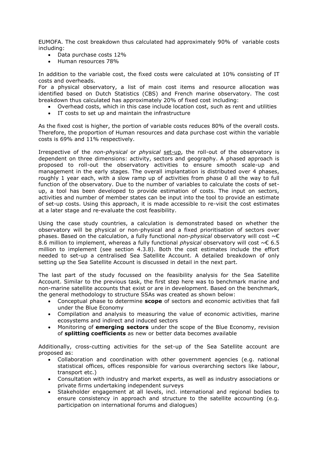EUMOFA. The cost breakdown thus calculated had approximately 90% of variable costs including:

- Data purchase costs 12%
- Human resources 78%

In addition to the variable cost, the fixed costs were calculated at 10% consisting of IT costs and overheads.

For a physical observatory, a list of main cost items and resource allocation was identified based on Dutch Statistics (CBS) and French marine observatory. The cost breakdown thus calculated has approximately 20% of fixed cost including:

- Overhead costs, which in this case include location cost, such as rent and utilities
- IT costs to set up and maintain the infrastructure

As the fixed cost is higher, the portion of variable costs reduces 80% of the overall costs. Therefore, the proportion of Human resources and data purchase cost within the variable costs is 69% and 11% respectively.

Irrespective of the *non-physical* or *physical* set-up, the roll-out of the observatory is dependent on three dimensions: activity, sectors and geography. A phased approach is proposed to roll-out the observatory activities to ensure smooth scale-up and management in the early stages. The overall implantation is distributed over 4 phases, roughly 1 year each, with a slow ramp up of activities from phase 0 all the way to full function of the observatory. Due to the number of variables to calculate the costs of setup, a tool has been developed to provide estimation of costs. The input on sectors, activities and number of member states can be input into the tool to provide an estimate of set-up costs. Using this approach, it is made accessible to re-visit the cost estimates at a later stage and re-evaluate the cost feasibility.

Using the case study countries, a calculation is demonstrated based on whether the observatory will be physical or non-physical and a fixed prioritisation of sectors over phases. Based on the calculation, a fully functional *non-physical* observatory will cost ~€ 8.6 million to implement, whereas a fully functional *physical* observatory will cost ~€ 6.5 million to implement (see section 4.3.8). Both the cost estimates include the effort needed to set-up a centralised Sea Satellite Account. A detailed breakdown of only setting up the Sea Satellite Account is discussed in detail in the next part.

The last part of the study focussed on the feasibility analysis for the Sea Satellite Account. Similar to the previous task, the first step here was to benchmark marine and non-marine satellite accounts that exist or are in development. Based on the benchmark, the general methodology to structure SSAs was created as shown below:

- Conceptual phase to determine **scope** of sectors and economic activities that fall under the Blue Economy
- Compilation and analysis to measuring the value of economic activities, marine ecosystems and indirect and induced sectors
- Monitoring of **emerging sectors** under the scope of the Blue Economy, revision of **splitting coefficients** as new or better data becomes available

Additionally, cross-cutting activities for the set-up of the Sea Satellite account are proposed as:

- Collaboration and coordination with other government agencies (e.g. national statistical offices, offices responsible for various overarching sectors like labour, transport etc.)
- Consultation with industry and market experts, as well as industry associations or private firms undertaking independent surveys
- Stakeholder engagement at all levels, incl. international and regional bodies to ensure consistency in approach and structure to the satellite accounting (e.g. participation on international forums and dialogues)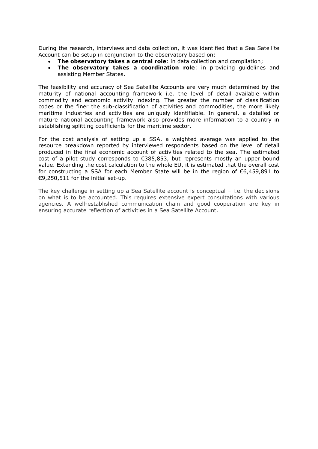During the research, interviews and data collection, it was identified that a Sea Satellite Account can be setup in conjunction to the observatory based on:

- **The observatory takes a central role**: in data collection and compilation;
- **The observatory takes a coordination role**: in providing guidelines and assisting Member States.

The feasibility and accuracy of Sea Satellite Accounts are very much determined by the maturity of national accounting framework i.e. the level of detail available within commodity and economic activity indexing. The greater the number of classification codes or the finer the sub-classification of activities and commodities, the more likely maritime industries and activities are uniquely identifiable. In general, a detailed or mature national accounting framework also provides more information to a country in establishing splitting coefficients for the maritime sector.

For the cost analysis of setting up a SSA, a weighted average was applied to the resource breakdown reported by interviewed respondents based on the level of detail produced in the final economic account of activities related to the sea. The estimated cost of a pilot study corresponds to  $\epsilon$ 385,853, but represents mostly an upper bound value. Extending the cost calculation to the whole EU, it is estimated that the overall cost for constructing a SSA for each Member State will be in the region of €6,459,891 to €9,250,511 for the initial set-up.

The key challenge in setting up a Sea Satellite account is conceptual – i.e. the decisions on what is to be accounted. This requires extensive expert consultations with various agencies. A well-established communication chain and good cooperation are key in ensuring accurate reflection of activities in a Sea Satellite Account.